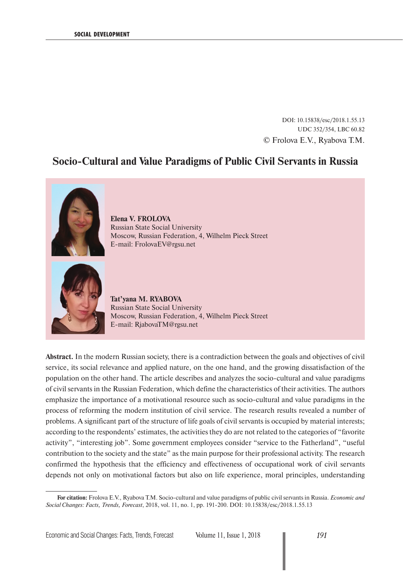DOI: 10.15838/esc/2018.1.55.13 UDC 352/354, LBC 60.82 © Frolova E.V., Ryabova T.M.

# **Socio-Cultural and Value Paradigms of Public Civil Servants in Russia**



**Elena V. FROLOVA** Russian State Social University Moscow, Russian Federation, 4, Wilhelm Pieck Street E-mail: FrolovaEV@rgsu.net



**Tat'yana M. RYABOVA** Russian State Social University Moscow, Russian Federation, 4, Wilhelm Pieck Street E-mail: RjabovaTM@rgsu.net

**Abstract.** In the modern Russian society, there is a contradiction between the goals and objectives of civil service, its social relevance and applied nature, on the one hand, and the growing dissatisfaction of the population on the other hand. The article describes and analyzes the socio-cultural and value paradigms of civil servants in the Russian Federation, which define the characteristics of their activities. The authors emphasize the importance of a motivational resource such as socio-cultural and value paradigms in the process of reforming the modern institution of civil service. The research results revealed a number of problems. A significant part of the structure of life goals of civil servants is occupied by material interests; according to the respondents' estimates, the activities they do are not related to the categories of "favorite activity", "interesting job". Some government employees consider "service to the Fatherland", "useful contribution to the society and the state" as the main purpose for their professional activity. The research confirmed the hypothesis that the efficiency and effectiveness of occupational work of civil servants depends not only on motivational factors but also on life experience, moral principles, understanding

**For citation:** Frolova E.V., Ryabova T.M. Socio-cultural and value paradigms of public civil servants in Russia. *Economic and Social Changes: Facts, Trends, Forecast*, 2018, vol. 11, no. 1, pp. 191-200. DOI: 10.15838/esc/2018.1.55.13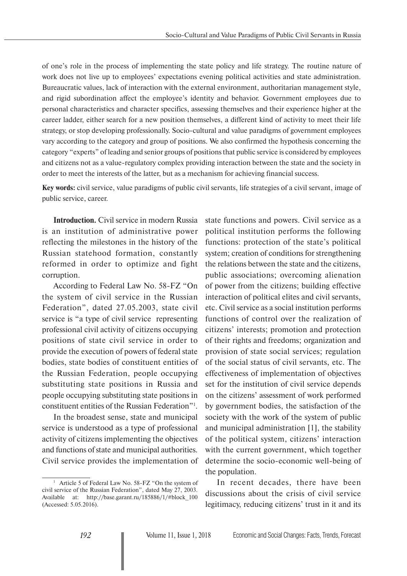of one's role in the process of implementing the state policy and life strategy. The routine nature of work does not live up to employees' expectations evening political activities and state administration. Bureaucratic values, lack of interaction with the external environment, authoritarian management style, and rigid subordination affect the employee's identity and behavior. Government employees due to personal characteristics and character specifics, assessing themselves and their experience higher at the career ladder, either search for a new position themselves, a different kind of activity to meet their life strategy, or stop developing professionally. Socio-cultural and value paradigms of government employees vary according to the category and group of positions. We also confirmed the hypothesis concerning the category "experts" of leading and senior groups of positions that public service is considered by employees and citizens not as a value-regulatory complex providing interaction between the state and the society in order to meet the interests of the latter, but as a mechanism for achieving financial success.

**Key words:** civil service, value paradigms of public civil servants, life strategies of a civil servant, image of public service, career.

**Introduction.** Civil service in modern Russia is an institution of administrative power reflecting the milestones in the history of the Russian statehood formation, constantly reformed in order to optimize and fight corruption.

According to Federal Law No. 58-FZ "On the system of civil service in the Russian Federation", dated 27.05.2003, state civil service is "a type of civil service representing professional civil activity of citizens occupying positions of state civil service in order to provide the execution of powers of federal state bodies, state bodies of constituent entities of the Russian Federation, people occupying substituting state positions in Russia and people occupying substituting state positions in constituent entities of the Russian Federation"1 .

In the broadest sense, state and municipal service is understood as a type of professional activity of citizens implementing the objectives and functions of state and municipal authorities. Civil service provides the implementation of state functions and powers. Civil service as a political institution performs the following functions: protection of the state's political system; creation of conditions for strengthening the relations between the state and the citizens, public associations; overcoming alienation of power from the citizens; building effective interaction of political elites and civil servants, etc. Civil service as a social institution performs functions of control over the realization of citizens' interests; promotion and protection of their rights and freedoms; organization and provision of state social services; regulation of the social status of civil servants, etc. The effectiveness of implementation of objectives set for the institution of civil service depends on the citizens' assessment of work performed by government bodies, the satisfaction of the society with the work of the system of public and municipal administration [1], the stability of the political system, citizens' interaction with the current government, which together determine the socio-economic well-being of the population.

In recent decades, there have been discussions about the crisis of civil service legitimacy, reducing citizens' trust in it and its

<sup>&</sup>lt;sup>1</sup> Article 5 of Federal Law No. 58-FZ "On the system of civil service of the Russian Federation", dated May 27, 2003. Available at: http://base.garant.ru/185886/1/#block\_100 (Accessed: 5.05.2016).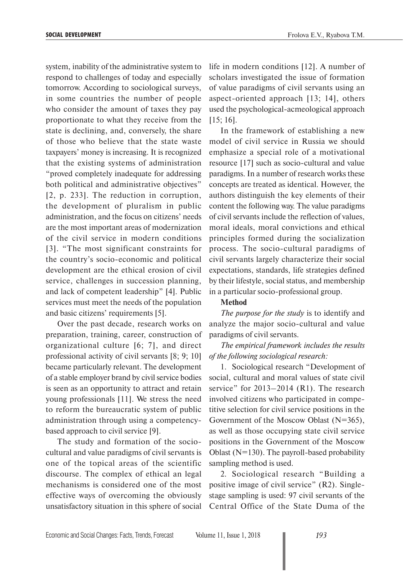system, inability of the administrative system to respond to challenges of today and especially tomorrow. According to sociological surveys, in some countries the number of people who consider the amount of taxes they pay proportionate to what they receive from the state is declining, and, conversely, the share of those who believe that the state waste taxpayers' money is increasing. It is recognized that the existing systems of administration "proved completely inadequate for addressing both political and administrative objectives" [2, p. 233]. The reduction in corruption, the development of pluralism in public administration, and the focus on citizens' needs are the most important areas of modernization of the civil service in modern conditions [3]. "The most significant constraints for the country's socio-economic and political development are the ethical erosion of civil service, challenges in succession planning, and lack of competent leadership" [4]. Public services must meet the needs of the population and basic citizens' requirements [5].

Over the past decade, research works on preparation, training, career, construction of organizational culture [6; 7], and direct professional activity of civil servants [8; 9; 10] became particularly relevant. The development of a stable employer brand by civil service bodies is seen as an opportunity to attract and retain young professionals [11]. We stress the need to reform the bureaucratic system of public administration through using a competencybased approach to civil service [9].

The study and formation of the sociocultural and value paradigms of civil servants is one of the topical areas of the scientific discourse. The complex of ethical an legal mechanisms is considered one of the most effective ways of overcoming the obviously unsatisfactory situation in this sphere of social life in modern conditions [12]. A number of scholars investigated the issue of formation of value paradigms of civil servants using an aspect-oriented approach [13; 14], others used the psychological-acmeological approach [15; 16].

In the framework of establishing a new model of civil service in Russia we should emphasize a special role of a motivational resource [17] such as socio-cultural and value paradigms. In a number of research works these concepts are treated as identical. However, the authors distinguish the key elements of their content the following way. The value paradigms of civil servants include the reflection of values, moral ideals, moral convictions and ethical principles formed during the socialization process. The socio-cultural paradigms of civil servants largely characterize their social expectations, standards, life strategies defined by their lifestyle, social status, and membership in a particular socio-professional group.

#### **Method**

*The purpose for the study* is to identify and analyze the major socio-cultural and value paradigms of civil servants.

## *The empirical framework includes the results of the following sociological research:*

1. Sociological research "Development of social, cultural and moral values of state civil service" for 2013–2014 (R1). The research involved citizens who participated in competitive selection for civil service positions in the Government of the Moscow Oblast (N=365), as well as those occupying state civil service positions in the Government of the Moscow Oblast (N=130). The payroll-based probability sampling method is used.

2. Sociological research "Building a positive image of civil service" (R2). Singlestage sampling is used: 97 civil servants of the Central Office of the State Duma of the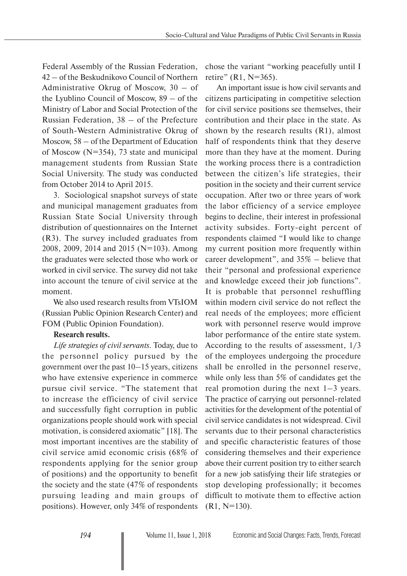Federal Assembly of the Russian Federation, 42 – of the Beskudnikovo Council of Northern Administrative Okrug of Moscow, 30 – of the Lyublino Council of Moscow, 89 – of the Ministry of Labor and Social Protection of the Russian Federation, 38 – of the Prefecture of South-Western Administrative Okrug of Moscow, 58 – of the Department of Education of Moscow (N=354), 73 state and municipal management students from Russian State Social University. The study was conducted from October 2014 to April 2015.

3. Sociological snapshot surveys of state and municipal management graduates from Russian State Social University through distribution of questionnaires on the Internet (R3). The survey included graduates from 2008, 2009, 2014 and 2015 (N=103). Among the graduates were selected those who work or worked in civil service. The survey did not take into account the tenure of civil service at the moment.

We also used research results from VTsIOM (Russian Public Opinion Research Center) and FOM (Public Opinion Foundation).

## **Research results.**

*Life strategies of civil servants*. Today, due to the personnel policy pursued by the government over the past 10–15 years, citizens who have extensive experience in commerce pursue civil service. "The statement that to increase the efficiency of civil service and successfully fight corruption in public organizations people should work with special motivation, is considered axiomatic" [18]. The most important incentives are the stability of civil service amid economic crisis (68% of respondents applying for the senior group of positions) and the opportunity to benefit the society and the state (47% of respondents pursuing leading and main groups of positions). However, only 34% of respondents

chose the variant "working peacefully until I retire" (R1, N=365).

An important issue is how civil servants and citizens participating in competitive selection for civil service positions see themselves, their contribution and their place in the state. As shown by the research results (R1), almost half of respondents think that they deserve more than they have at the moment. During the working process there is a contradiction between the citizen's life strategies, their position in the society and their current service occupation. After two or three years of work the labor efficiency of a service employee begins to decline, their interest in professional activity subsides. Forty-eight percent of respondents claimed "I would like to change my current position more frequently within career development", and 35% – believe that their "personal and professional experience and knowledge exceed their job functions". It is probable that personnel reshuffling within modern civil service do not reflect the real needs of the employees; more efficient work with personnel reserve would improve labor performance of the entire state system. According to the results of assessment, 1/3 of the employees undergoing the procedure shall be enrolled in the personnel reserve, while only less than 5% of candidates get the real promotion during the next  $1-3$  years. The practice of carrying out personnel-related activities for the development of the potential of civil service candidates is not widespread. Civil servants due to their personal characteristics and specific characteristic features of those considering themselves and their experience above their current position try to either search for a new job satisfying their life strategies or stop developing professionally; it becomes difficult to motivate them to effective action  $(R1, N=130)$ .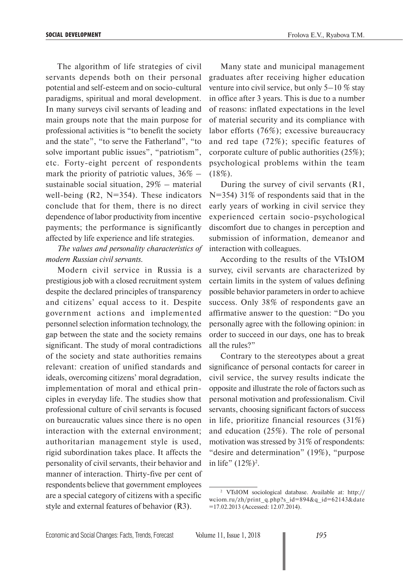The algorithm of life strategies of civil servants depends both on their personal potential and self-esteem and on socio-cultural paradigms, spiritual and moral development. In many surveys civil servants of leading and main groups note that the main purpose for professional activities is "to benefit the society and the state", "to serve the Fatherland", "to solve important public issues", "patriotism", etc. Forty-eight percent of respondents mark the priority of patriotic values,  $36\%$  – sustainable social situation, 29% – material well-being  $(R2, N=354)$ . These indicators conclude that for them, there is no direct dependence of labor productivity from incentive payments; the performance is significantly affected by life experience and life strategies.

*The values and personality characteristics of modern Russian civil servants.*

Modern civil service in Russia is a prestigious job with a closed recruitment system despite the declared principles of transparency and citizens' equal access to it. Despite government actions and implemented personnel selection information technology, the gap between the state and the society remains significant. The study of moral contradictions of the society and state authorities remains relevant: creation of unified standards and ideals, overcoming citizens' moral degradation, implementation of moral and ethical principles in everyday life. The studies show that professional culture of civil servants is focused on bureaucratic values since there is no open interaction with the external environment; authoritarian management style is used, rigid subordination takes place. It affects the personality of civil servants, their behavior and manner of interaction. Thirty-five per cent of respondents believe that government employees are a special category of citizens with a specific style and external features of behavior (R3).

Many state and municipal management graduates after receiving higher education venture into civil service, but only 5–10 % stay in office after 3 years. This is due to a number of reasons: inflated expectations in the level of material security and its compliance with labor efforts (76%); excessive bureaucracy and red tape (72%); specific features of corporate culture of public authorities (25%); psychological problems within the team  $(18\%).$ 

During the survey of civil servants (R1, N=354) 31\% of respondents said that in the early years of working in civil service they experienced certain socio-psychological discomfort due to changes in perception and submission of information, demeanor and interaction with colleagues.

According to the results of the VTsIOM survey, civil servants are characterized by certain limits in the system of values defining possible behavior parameters in order to achieve success. Only 38% of respondents gave an affirmative answer to the question: "Do you personally agree with the following opinion: in order to succeed in our days, one has to break all the rules?"

Contrary to the stereotypes about a great significance of personal contacts for career in civil service, the survey results indicate the opposite and illustrate the role of factors such as personal motivation and professionalism. Civil servants, choosing significant factors of success in life, prioritize financial resources (31%) and education (25%). The role of personal motivation was stressed by 31% of respondents: "desire and determination" (19%), "purpose in life"  $(12\%)^2$ .

<sup>2</sup> VTsIOM sociological database. Available at: http:// wciom.ru/zh/print\_q.php?s\_id=894&q\_id=62143&date =17.02.2013 (Accessed: 12.07.2014).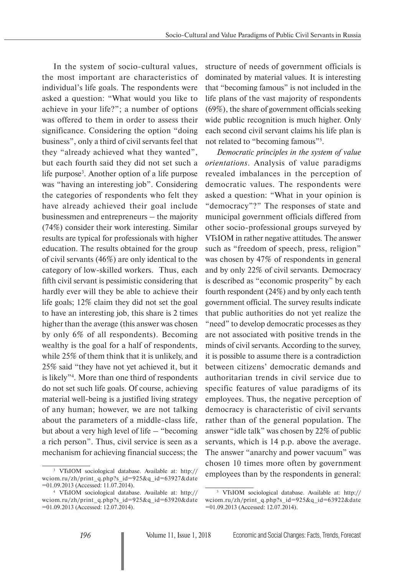In the system of socio-cultural values, the most important are characteristics of individual's life goals. The respondents were asked a question: "What would you like to achieve in your life?"; a number of options was offered to them in order to assess their significance. Considering the option "doing business", only a third of civil servants feel that they "already achieved what they wanted", but each fourth said they did not set such a life purpose<sup>3</sup>. Another option of a life purpose was "having an interesting job". Considering the categories of respondents who felt they have already achieved their goal include businessmen and entrepreneurs – the majority (74%) consider their work interesting. Similar results are typical for professionals with higher education. The results obtained for the group of civil servants (46%) are only identical to the category of low-skilled workers. Thus, each fifth civil servant is pessimistic considering that hardly ever will they be able to achieve their life goals; 12% claim they did not set the goal to have an interesting job, this share is 2 times higher than the average (this answer was chosen by only 6% of all respondents). Becoming wealthy is the goal for a half of respondents, while 25% of them think that it is unlikely, and 25% said "they have not yet achieved it, but it is likely"4 . More than one third of respondents do not set such life goals. Of course, achieving material well-being is a justified living strategy of any human; however, we are not talking about the parameters of a middle-class life, but about a very high level of life – "becoming a rich person". Thus, civil service is seen as a mechanism for achieving financial success; the

structure of needs of government officials is dominated by material values. It is interesting that "becoming famous" is not included in the life plans of the vast majority of respondents (69%), the share of government officials seeking wide public recognition is much higher. Only each second civil servant claims his life plan is not related to "becoming famous"<sup>5</sup>.

*Democratic principles in the system of value orientations*. Analysis of value paradigms revealed imbalances in the perception of democratic values. The respondents were asked a question: "What in your opinion is "democracy"?" The responses of state and municipal government officials differed from other socio-professional groups surveyed by VTsIOM in rather negative attitudes. The answer such as "freedom of speech, press, religion" was chosen by 47% of respondents in general and by only 22% of civil servants. Democracy is described as "economic prosperity" by each fourth respondent (24%) and by only each tenth government official. The survey results indicate that public authorities do not yet realize the "need" to develop democratic processes as they are not associated with positive trends in the minds of civil servants. According to the survey, it is possible to assume there is a contradiction between citizens' democratic demands and authoritarian trends in civil service due to specific features of value paradigms of its employees. Thus, the negative perception of democracy is characteristic of civil servants rather than of the general population. The answer "idle talk" was chosen by 22% of public servants, which is 14 p.p. above the average. The answer "anarchy and power vacuum" was chosen 10 times more often by government employees than by the respondents in general:

<sup>3</sup> VTsIOM sociological database. Available at: http:// wciom.ru/zh/print\_q.php?s\_id=925&q\_id=63927&date =01.09.2013 (Accessed: 11.07.2014).

<sup>4</sup> VTsIOM sociological database. Available at: http:// wciom.ru/zh/print\_q.php?s\_id=925&q\_id=63920&date =01.09.2013 (Accessed: 12.07.2014).

<sup>5</sup> VTsIOM sociological database. Available at: http:// wciom.ru/zh/print\_q.php?s\_id=925&q\_id=63922&date =01.09.2013 (Accessed: 12.07.2014).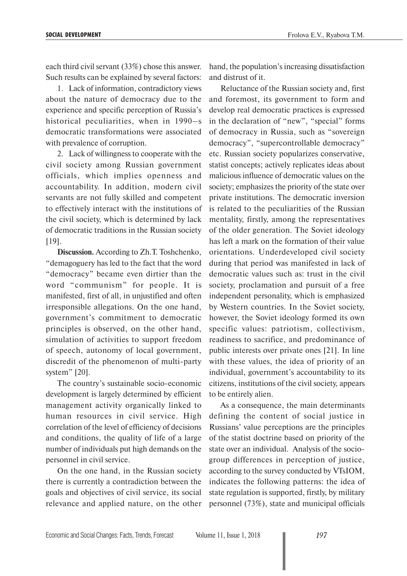each third civil servant (33%) chose this answer. Such results can be explained by several factors:

1. Lack of information, contradictory views about the nature of democracy due to the experience and specific perception of Russia's historical peculiarities, when in 1990–s democratic transformations were associated with prevalence of corruption.

2. Lack of willingness to cooperate with the civil society among Russian government officials, which implies openness and accountability. In addition, modern civil servants are not fully skilled and competent to effectively interact with the institutions of the civil society, which is determined by lack of democratic traditions in the Russian society [19].

**Discussion.** According to Zh.T. Toshchenko, "demagoguery has led to the fact that the word "democracy" became even dirtier than the word "communism" for people. It is manifested, first of all, in unjustified and often irresponsible allegations. On the one hand, government's commitment to democratic principles is observed, on the other hand, simulation of activities to support freedom of speech, autonomy of local government, discredit of the phenomenon of multi-party system" [20].

The country's sustainable socio-economic development is largely determined by efficient management activity organically linked to human resources in civil service. High correlation of the level of efficiency of decisions and conditions, the quality of life of a large number of individuals put high demands on the personnel in civil service.

On the one hand, in the Russian society there is currently a contradiction between the goals and objectives of civil service, its social relevance and applied nature, on the other

hand, the population's increasing dissatisfaction and distrust of it.

Reluctance of the Russian society and, first and foremost, its government to form and develop real democratic practices is expressed in the declaration of "new", "special" forms of democracy in Russia, such as "sovereign democracy", "supercontrollable democracy" etc. Russian society popularizes conservative, statist concepts; actively replicates ideas about malicious influence of democratic values on the society; emphasizes the priority of the state over private institutions. The democratic inversion is related to the peculiarities of the Russian mentality, firstly, among the representatives of the older generation. The Soviet ideology has left a mark on the formation of their value orientations. Underdeveloped civil society during that period was manifested in lack of democratic values such as: trust in the civil society, proclamation and pursuit of a free independent personality, which is emphasized by Western countries. In the Soviet society, however, the Soviet ideology formed its own specific values: patriotism, collectivism, readiness to sacrifice, and predominance of public interests over private ones [21]. In line with these values, the idea of priority of an individual, government's accountability to its citizens, institutions of the civil society, appears to be entirely alien.

As a consequence, the main determinants defining the content of social justice in Russians' value perceptions are the principles of the statist doctrine based on priority of the state over an individual. Analysis of the sociogroup differences in perception of justice, according to the survey conducted by VTsIOM, indicates the following patterns: the idea of state regulation is supported, firstly, by military personnel (73%), state and municipal officials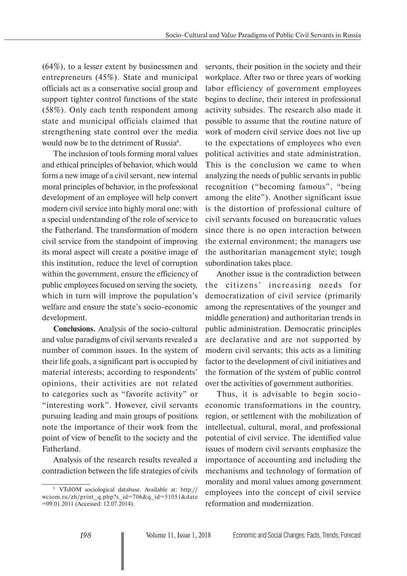(64%), to a lesser extent by businessmen and entrepreneurs (45%). State and municipal officials act as a conservative social group and support tighter control functions of the state (58%). Only each tenth respondent among state and municipal officials claimed that strengthening state control over the media would now be to the detriment of Russia<sup>6</sup>.

The inclusion of tools forming moral values and ethical principles of behavior, which would form a new image of a civil servant, new internal moral principles of behavior, in the professional development of an employee will help convert modern civil service into highly moral one: with a special understanding of the role of service to the Fatherland. The transformation of modern civil service from the standpoint of improving its moral aspect will create a positive image of this institution, reduce the level of corruption within the government, ensure the efficiency of public employees focused on serving the society, which in turn will improve the population's welfare and ensure the state's socio-economic development.

**Conclusions.** Analysis of the socio-cultural and value paradigms of civil servants revealed a number of common issues. In the system of their life goals, a significant part is occupied by material interests; according to respondents' opinions, their activities are not related to categories such as "favorite activity" or "interesting work". However, civil servants pursuing leading and main groups of positions note the importance of their work from the point of view of benefit to the society and the Fatherland.

Analysis of the research results revealed a contradiction between the life strategies of civils servants, their position in the society and their workplace. After two or three years of working labor efficiency of government employees begins to decline, their interest in professional activity subsides. The research also made it possible to assume that the routine nature of work of modern civil service does not live up to the expectations of employees who even political activities and state administration. This is the conclusion we came to when analyzing the needs of public servants in public recognition ("becoming famous", "being among the elite"). Another significant issue is the distortion of professional culture of civil servants focused on bureaucratic values since there is no open interaction between the external environment; the managers use the authoritarian management style; tough subordination takes place.

Another issue is the contradiction between the citizens' increasing needs for democratization of civil service (primarily among the representatives of the younger and middle generation) and authoritarian trends in public administration. Democratic principles are declarative and are not supported by modern civil servants; this acts as a limiting factor to the development of civil initiatives and the formation of the system of public control over the activities of government authorities.

Thus, it is advisable to begin socioeconomic transformations in the country, region, or settlement with the mobilization of intellectual, cultural, moral, and professional potential of civil service. The identified value issues of modern civil servants emphasize the importance of accounting and including the mechanisms and technology of formation of morality and moral values among government employees into the concept of civil service reformation and modernization.

<sup>6</sup> VTsIOM sociological database. Available at: http:// wciom.ru/zh/print\_q.php?s\_id=706&q\_id=51051&date =09.01.2011 (Accessed: 12.07.2014).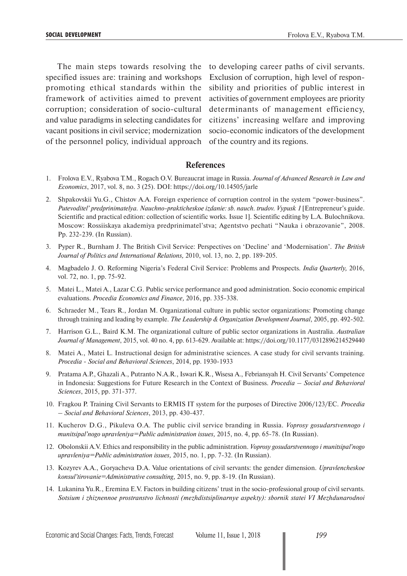The main steps towards resolving the specified issues are: training and workshops promoting ethical standards within the framework of activities aimed to prevent corruption; consideration of socio-cultural and value paradigms in selecting candidates for vacant positions in civil service; modernization of the personnel policy, individual approach of the country and its regions.

to developing career paths of civil servants. Exclusion of corruption, high level of responsibility and priorities of public interest in activities of government employees are priority determinants of management efficiency, citizens' increasing welfare and improving socio-economic indicators of the development

### **References**

- 1. Frolova E.V., Ryabova T.M., Rogach O.V. Bureaucrat image in Russia. *Journal of Advanced Research in Law and Economics*, 2017, vol. 8, no. 3 (25). DOI: https://doi.org/10.14505/jarle
- 2. Shpakovskii Yu.G., Chistov A.A. Foreign experience of corruption control in the system "power-business". *Putevoditel' predprinimatelya. Nauchno-prakticheskoe izdanie: sb. nauch. trudov. Vypusk 1* [Entrepreneur's guide. Scientific and practical edition: collection of scientific works. Issue 1]*.* Scientific editing by L.A. Bulochnikova. Moscow: Rossiiskaya akademiya predprinimatel'stva; Agentstvo pechati "Nauka i obrazovanie", 2008. Pp. 232-239. (In Russian).
- 3. Pyper R., Burnham J. The British Civil Service: Perspectives on 'Decline' and 'Modernisation'. *The British Journal of Politics and International Relations,* 2010, vol. 13, no. 2, pp. 189-205.
- 4. Magbadelo J. O. Reforming Nigeria's Federal Civil Service: Problems and Prospects. *India Quarterly,* 2016, vol. 72, no. 1, pp. 75-92.
- 5. Matei L., Matei A., Lazar C.G. Public service performance and good administration. Socio economic empirical evaluations. *Procedia Economics and Finance,* 2016, pp. 335-338.
- 6. Schraeder M., Tears R., Jordan M. Organizational culture in public sector organizations: Promoting change through training and leading by example. *The Leadership & Organization Development Journal*, 2005, pp. 492-502.
- 7. Harrison G.L., Baird K.M. The organizational culture of public sector organizations in Australia. *Australian Journal of Management*, 2015, vol. 40 no. 4, pp. 613-629. Available at: https://doi.org/10.1177/0312896214529440
- 8. Matei A., Matei L. Instructional design for administrative sciences. A case study for civil servants training. *Procedia - Social and Behavioral Sciences*, 2014, pp. 1930-1933
- 9. Pratama A.P., Ghazali A., Putranto N.A.R., Iswari K.R., Wisesa A., Febriansyah H. Civil Servants' Competence in Indonesia: Suggestions for Future Research in the Context of Business. *Procedia – Social and Behavioral Sciences*, 2015, pp. 371-377.
- 10. Fragkou P. Training Civil Servants to ERMIS IT system for the purposes of Directive 2006/123/EC. *Procedia – Social and Behavioral Sciences*, 2013, pp. 430-437.
- 11. Kucherov D.G., Pikuleva O.A. The public civil service branding in Russia. *Voprosy gosudarstvennogo i munitsipal'nogo upravleniya=Public administration issues,* 2015, no. 4, pp. 65-78. (In Russian).
- 12. Obolonskii A.V. Ethics and responsibility in the public administration. *Voprosy gosudarstvennogo i munitsipal'nogo upravleniya=Public administration issues,* 2015, no. 1, pp. 7-32. (In Russian).
- 13. Kozyrev A.A., Goryacheva D.A. Value orientations of civil servants: the gender dimension. *Upravlencheskoe konsul'tirovanie=Administrative consulting,* 2015, no. 9, pp. 8-19. (In Russian).
- 14. Lukanina Yu.R., Eremina E.V. Factors in building citizens' trust in the socio-professional group of civil servants. *Sotsium i zhiznennoe prostranstvo lichnosti (mezhdistsiplinarnye aspekty): sbornik statei VI Mezhdunarodnoi*